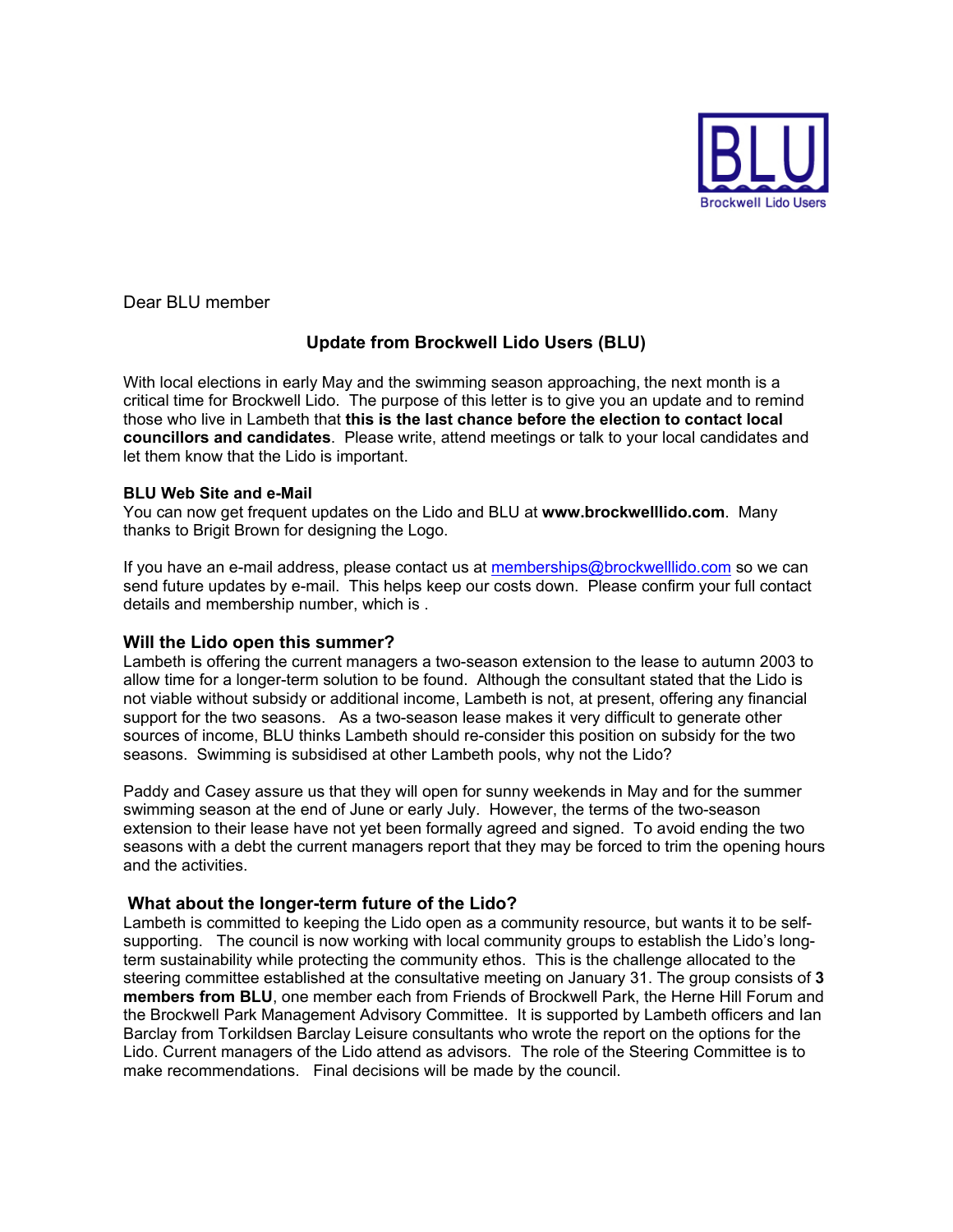

Dear BLU member

# **Update from Brockwell Lido Users (BLU)**

With local elections in early May and the swimming season approaching, the next month is a critical time for Brockwell Lido. The purpose of this letter is to give you an update and to remind those who live in Lambeth that **this is the last chance before the election to contact local councillors and candidates**. Please write, attend meetings or talk to your local candidates and let them know that the Lido is important.

#### **BLU Web Site and e-Mail**

You can now get frequent updates on the Lido and BLU at **www.brockwelllido.com**. Many thanks to Brigit Brown for designing the Logo.

If you have an e-mail address, please contact us at memberships@brockwelllido.com so we can send future updates by e-mail. This helps keep our costs down. Please confirm your full contact details and membership number, which is .

### **Will the Lido open this summer?**

Lambeth is offering the current managers a two-season extension to the lease to autumn 2003 to allow time for a longer-term solution to be found. Although the consultant stated that the Lido is not viable without subsidy or additional income, Lambeth is not, at present, offering any financial support for the two seasons. As a two-season lease makes it very difficult to generate other sources of income, BLU thinks Lambeth should re-consider this position on subsidy for the two seasons. Swimming is subsidised at other Lambeth pools, why not the Lido?

Paddy and Casey assure us that they will open for sunny weekends in May and for the summer swimming season at the end of June or early July. However, the terms of the two-season extension to their lease have not yet been formally agreed and signed. To avoid ending the two seasons with a debt the current managers report that they may be forced to trim the opening hours and the activities.

## **What about the longer-term future of the Lido?**

Lambeth is committed to keeping the Lido open as a community resource, but wants it to be selfsupporting. The council is now working with local community groups to establish the Lido's longterm sustainability while protecting the community ethos. This is the challenge allocated to the steering committee established at the consultative meeting on January 31. The group consists of **3 members from BLU**, one member each from Friends of Brockwell Park, the Herne Hill Forum and the Brockwell Park Management Advisory Committee. It is supported by Lambeth officers and Ian Barclay from Torkildsen Barclay Leisure consultants who wrote the report on the options for the Lido. Current managers of the Lido attend as advisors. The role of the Steering Committee is to make recommendations. Final decisions will be made by the council.